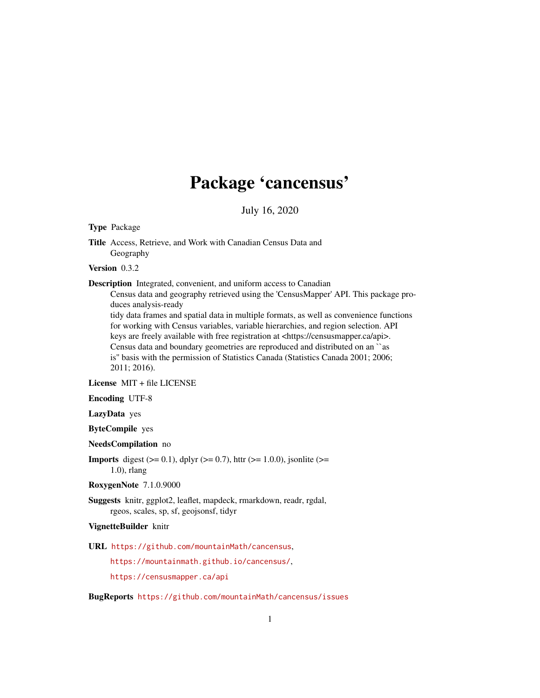## Package 'cancensus'

July 16, 2020

<span id="page-0-0"></span>Type Package

Title Access, Retrieve, and Work with Canadian Census Data and Geography

Version 0.3.2

Description Integrated, convenient, and uniform access to Canadian

Census data and geography retrieved using the 'CensusMapper' API. This package produces analysis-ready

tidy data frames and spatial data in multiple formats, as well as convenience functions for working with Census variables, variable hierarchies, and region selection. API keys are freely available with free registration at <https://censusmapper.ca/api>. Census data and boundary geometries are reproduced and distributed on an ``as is'' basis with the permission of Statistics Canada (Statistics Canada 2001; 2006; 2011; 2016).

License MIT + file LICENSE

Encoding UTF-8

LazyData yes

ByteCompile yes

NeedsCompilation no

**Imports** digest ( $> = 0.1$ ), dplyr ( $> = 0.7$ ), httr ( $> = 1.0.0$ ), jsonlite ( $> =$ 1.0), rlang

#### RoxygenNote 7.1.0.9000

Suggests knitr, ggplot2, leaflet, mapdeck, rmarkdown, readr, rgdal, rgeos, scales, sp, sf, geojsonsf, tidyr

#### VignetteBuilder knitr

URL <https://github.com/mountainMath/cancensus>,

<https://mountainmath.github.io/cancensus/>,

<https://censusmapper.ca/api>

BugReports <https://github.com/mountainMath/cancensus/issues>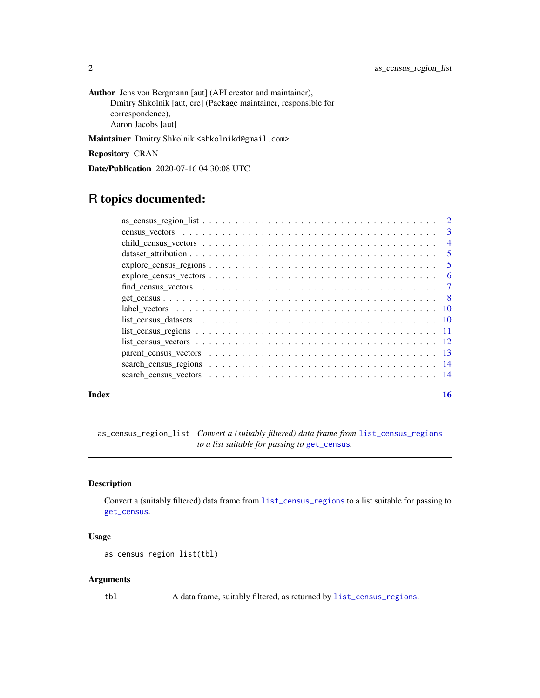<span id="page-1-0"></span>Author Jens von Bergmann [aut] (API creator and maintainer), Dmitry Shkolnik [aut, cre] (Package maintainer, responsible for correspondence), Aaron Jacobs [aut]

Maintainer Dmitry Shkolnik <shkolnikd@gmail.com>

Repository CRAN

Date/Publication 2020-07-16 04:30:08 UTC

### R topics documented:

|                                                                                                                        | -3             |
|------------------------------------------------------------------------------------------------------------------------|----------------|
|                                                                                                                        | $\overline{4}$ |
|                                                                                                                        | 5              |
| $explore\_census\_regions \dots \dots \dots \dots \dots \dots \dots \dots \dots \dots \dots \dots \dots \dots$         | 5              |
| $explore\_census\_vectors \dots \dots \dots \dots \dots \dots \dots \dots \dots \dots \dots \dots \dots \dots$         | 6              |
| $find\_census\_vectors \dots \dots \dots \dots \dots \dots \dots \dots \dots \dots \dots \dots \dots \dots \dots$      | $\overline{7}$ |
|                                                                                                                        | - 8            |
|                                                                                                                        |                |
| $list\_census\_datasets \ldots \ldots \ldots \ldots \ldots \ldots \ldots \ldots \ldots \ldots \ldots \ldots \ldots 10$ |                |
| $list\_census\_regions \ldots \ldots \ldots \ldots \ldots \ldots \ldots \ldots \ldots \ldots \ldots \ldots \ldots 11$  |                |
|                                                                                                                        |                |
|                                                                                                                        |                |
|                                                                                                                        |                |
|                                                                                                                        |                |
|                                                                                                                        |                |

#### **Index** the contract of the contract of the contract of the contract of the contract of the contract of the contract of the contract of the contract of the contract of the contract of the contract of the contract of the co

as\_census\_region\_list *Convert a (suitably filtered) data frame from* [list\\_census\\_regions](#page-10-1) *to a list suitable for passing to* [get\\_census](#page-7-1)*.*

#### Description

Convert a (suitably filtered) data frame from [list\\_census\\_regions](#page-10-1) to a list suitable for passing to [get\\_census](#page-7-1).

#### Usage

```
as_census_region_list(tbl)
```
#### Arguments

tbl A data frame, suitably filtered, as returned by [list\\_census\\_regions](#page-10-1).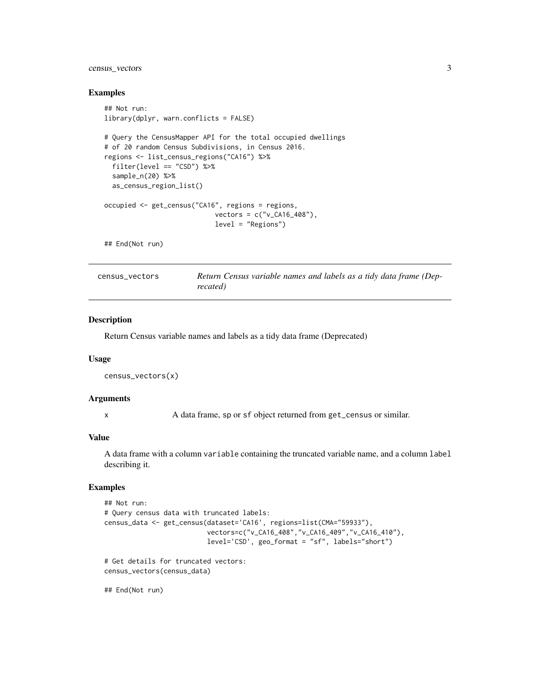#### <span id="page-2-0"></span>census\_vectors 3

#### Examples

```
## Not run:
library(dplyr, warn.conflicts = FALSE)
# Query the CensusMapper API for the total occupied dwellings
# of 20 random Census Subdivisions, in Census 2016.
regions <- list_census_regions("CA16") %>%
  filter(level == "CSD") %>%
  sample_n(20) %>%
  as_census_region_list()
occupied <- get_census("CA16", regions = regions,
                            vectors = c("v_CA16_408"),
                            level = "Regions")
```
## End(Not run)

census\_vectors *Return Census variable names and labels as a tidy data frame (Deprecated)*

#### Description

Return Census variable names and labels as a tidy data frame (Deprecated)

#### Usage

```
census_vectors(x)
```
#### Arguments

x A data frame, sp or sf object returned from get\_census or similar.

#### Value

A data frame with a column variable containing the truncated variable name, and a column label describing it.

#### Examples

```
## Not run:
# Query census data with truncated labels:
census_data <- get_census(dataset='CA16', regions=list(CMA="59933"),
                          vectors=c("v_CA16_408","v_CA16_409","v_CA16_410"),
                          level='CSD', geo_format = "sf", labels="short")
```

```
# Get details for truncated vectors:
census_vectors(census_data)
```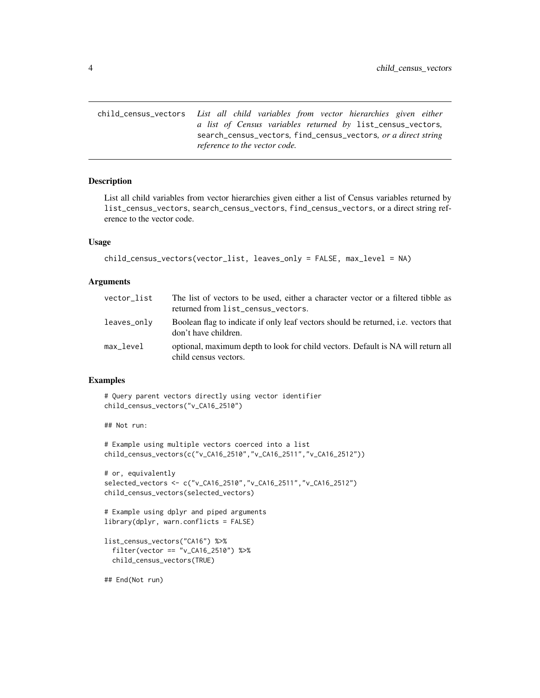<span id="page-3-0"></span>child\_census\_vectors *List all child variables from vector hierarchies given either a list of Census variables returned by* list\_census\_vectors*,* search\_census\_vectors*,* find\_census\_vectors*, or a direct string reference to the vector code.*

#### Description

List all child variables from vector hierarchies given either a list of Census variables returned by list\_census\_vectors, search\_census\_vectors, find\_census\_vectors, or a direct string reference to the vector code.

#### Usage

```
child_census_vectors(vector_list, leaves_only = FALSE, max_level = NA)
```
#### Arguments

| vector list | The list of vectors to be used, either a character vector or a filtered tibble as<br>returned from list_census_vectors. |
|-------------|-------------------------------------------------------------------------------------------------------------------------|
| leaves_only | Boolean flag to indicate if only leaf vectors should be returned, i.e. vectors that<br>don't have children.             |
| max level   | optional, maximum depth to look for child vectors. Default is NA will return all<br>child census vectors.               |

#### Examples

```
# Query parent vectors directly using vector identifier
child_census_vectors("v_CA16_2510")
```
## Not run:

```
# Example using multiple vectors coerced into a list
child_census_vectors(c("v_CA16_2510","v_CA16_2511","v_CA16_2512"))
```

```
# or, equivalently
selected_vectors <- c("v_CA16_2510","v_CA16_2511","v_CA16_2512")
child_census_vectors(selected_vectors)
```

```
# Example using dplyr and piped arguments
library(dplyr, warn.conflicts = FALSE)
```

```
list_census_vectors("CA16") %>%
  filter(vector == "v_CA16_2510") %>%
  child_census_vectors(TRUE)
```

```
## End(Not run)
```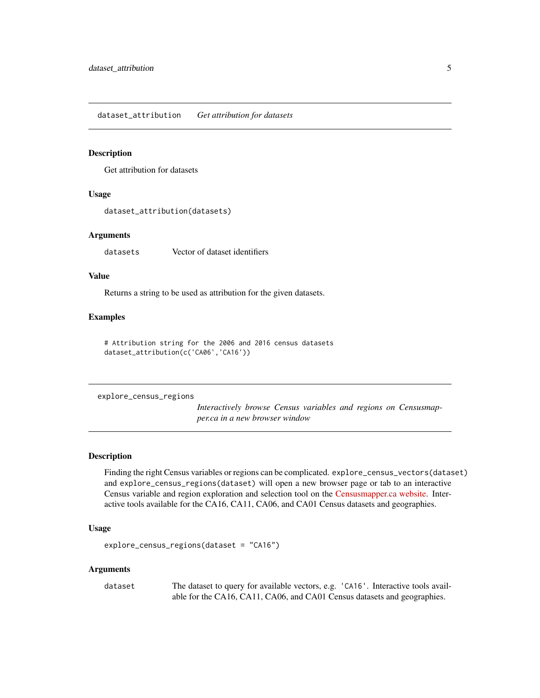<span id="page-4-0"></span>dataset\_attribution *Get attribution for datasets*

#### Description

Get attribution for datasets

#### Usage

```
dataset_attribution(datasets)
```
#### Arguments

datasets Vector of dataset identifiers

#### Value

Returns a string to be used as attribution for the given datasets.

#### Examples

# Attribution string for the 2006 and 2016 census datasets dataset\_attribution(c('CA06','CA16'))

explore\_census\_regions

*Interactively browse Census variables and regions on Censusmapper.ca in a new browser window*

#### **Description**

Finding the right Census variables or regions can be complicated. explore\_census\_vectors(dataset) and explore\_census\_regions(dataset) will open a new browser page or tab to an interactive Census variable and region exploration and selection tool on the [Censusmapper.ca website.](https://censusmapper.ca/api) Interactive tools available for the CA16, CA11, CA06, and CA01 Census datasets and geographies.

#### Usage

```
explore_census_regions(dataset = "CA16")
```
#### Arguments

dataset The dataset to query for available vectors, e.g. 'CA16'. Interactive tools available for the CA16, CA11, CA06, and CA01 Census datasets and geographies.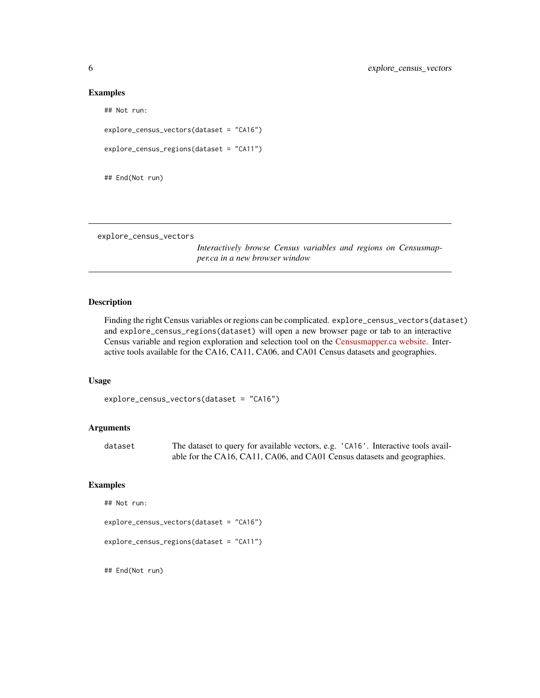#### Examples

## Not run: explore\_census\_vectors(dataset = "CA16") explore\_census\_regions(dataset = "CA11") ## End(Not run)

explore\_census\_vectors

*Interactively browse Census variables and regions on Censusmapper.ca in a new browser window*

#### Description

Finding the right Census variables or regions can be complicated. explore\_census\_vectors(dataset) and explore\_census\_regions(dataset) will open a new browser page or tab to an interactive Census variable and region exploration and selection tool on the [Censusmapper.ca website.](https://censusmapper.ca/api) Interactive tools available for the CA16, CA11, CA06, and CA01 Census datasets and geographies.

#### Usage

```
explore_census_vectors(dataset = "CA16")
```
#### Arguments

| dataset | The dataset to query for available vectors, e.g. 'CA16'. Interactive tools avail- |
|---------|-----------------------------------------------------------------------------------|
|         | able for the CA16, CA11, CA06, and CA01 Census datasets and geographies.          |

#### Examples

```
## Not run:
explore_census_vectors(dataset = "CA16")
explore_census_regions(dataset = "CA11")
```
<span id="page-5-0"></span>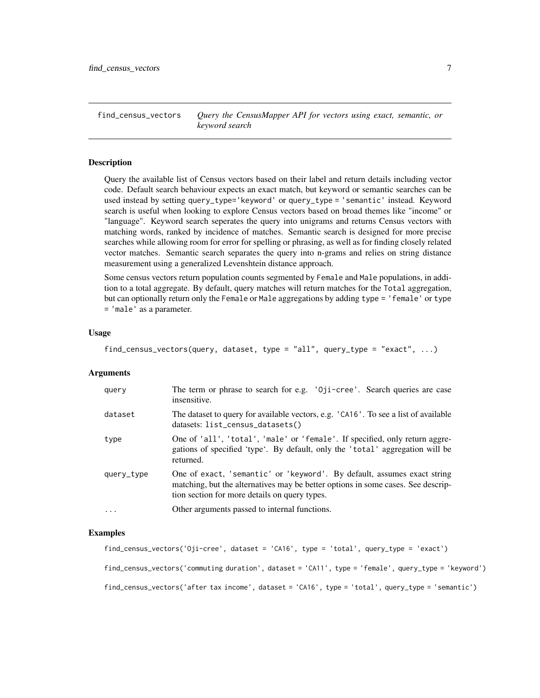<span id="page-6-0"></span>find\_census\_vectors *Query the CensusMapper API for vectors using exact, semantic, or keyword search*

#### Description

Query the available list of Census vectors based on their label and return details including vector code. Default search behaviour expects an exact match, but keyword or semantic searches can be used instead by setting query\_type='keyword' or query\_type = 'semantic' instead. Keyword search is useful when looking to explore Census vectors based on broad themes like "income" or "language". Keyword search seperates the query into unigrams and returns Census vectors with matching words, ranked by incidence of matches. Semantic search is designed for more precise searches while allowing room for error for spelling or phrasing, as well as for finding closely related vector matches. Semantic search separates the query into n-grams and relies on string distance measurement using a generalized Levenshtein distance approach.

Some census vectors return population counts segmented by Female and Male populations, in addition to a total aggregate. By default, query matches will return matches for the Total aggregation, but can optionally return only the Female or Male aggregations by adding type = 'female' or type = 'male' as a parameter.

#### Usage

find\_census\_vectors(query, dataset, type = "all", query\_type = "exact", ...)

#### **Arguments**

| query      | The term or phrase to search for e.g. '0ji-cree'. Search queries are case<br>insensitive.                                                                                                                    |
|------------|--------------------------------------------------------------------------------------------------------------------------------------------------------------------------------------------------------------|
| dataset    | The dataset to query for available vectors, e.g. 'CA16'. To see a list of available<br>datasets: list_census_datasets()                                                                                      |
| type       | One of 'all', 'total', 'male' or 'female'. If specified, only return aggre-<br>gations of specified 'type'. By default, only the 'total' aggregation will be<br>returned.                                    |
| query_type | One of exact, 'semantic' or 'keyword'. By default, assumes exact string<br>matching, but the alternatives may be better options in some cases. See descrip-<br>tion section for more details on query types. |
| $\cdots$   | Other arguments passed to internal functions.                                                                                                                                                                |

#### Examples

```
find_census_vectors('Oji-cree', dataset = 'CA16', type = 'total', query_type = 'exact')
find_census_vectors('commuting duration', dataset = 'CA11', type = 'female', query_type = 'keyword')
find_census_vectors('after tax income', dataset = 'CA16', type = 'total', query_type = 'semantic')
```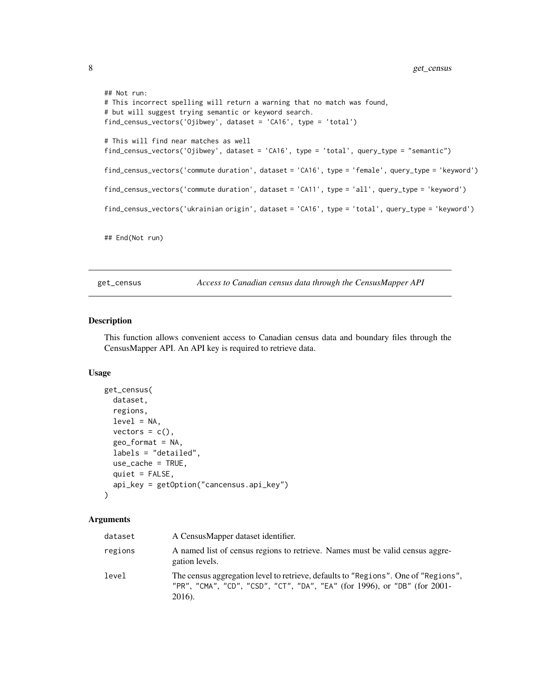```
## Not run:
# This incorrect spelling will return a warning that no match was found,
# but will suggest trying semantic or keyword search.
find_census_vectors('Ojibwey', dataset = 'CA16', type = 'total')
# This will find near matches as well
find_census_vectors('Ojibwey', dataset = 'CA16', type = 'total', query_type = "semantic")
find_census_vectors('commute duration', dataset = 'CA16', type = 'female', query_type = 'keyword')
find_census_vectors('commute duration', dataset = 'CA11', type = 'all', query_type = 'keyword')
find_census_vectors('ukrainian origin', dataset = 'CA16', type = 'total', query_type = 'keyword')
```
## End(Not run)

<span id="page-7-1"></span>get\_census *Access to Canadian census data through the CensusMapper API*

#### Description

This function allows convenient access to Canadian census data and boundary files through the CensusMapper API. An API key is required to retrieve data.

#### Usage

```
get_census(
  dataset,
  regions,
  level = NA,
  vectors = c(),
  geo_format = NA,
  labels = "detailed",
 use_cache = TRUE,
  quiet = FALSE,
  api_key = getOption("cancensus.api_key")
)
```
#### Arguments

| dataset | A CensusMapper dataset identifier.                                                                                                                                        |
|---------|---------------------------------------------------------------------------------------------------------------------------------------------------------------------------|
| regions | A named list of census regions to retrieve. Names must be valid census aggre-<br>gation levels.                                                                           |
| level   | The census aggregation level to retrieve, defaults to "Regions". One of "Regions",<br>"PR", "CMA", "CD", "CSD", "CT", "DA", "EA" (for 1996), or "DB" (for 2001-<br>2016). |

<span id="page-7-0"></span>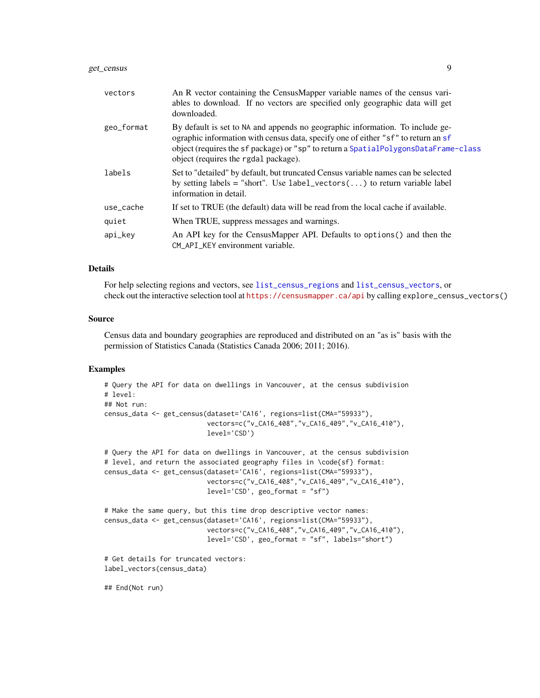#### <span id="page-8-0"></span>get\_census 9

| vectors    | An R vector containing the CensusMapper variable names of the census vari-<br>ables to download. If no vectors are specified only geographic data will get<br>downloaded.                                                                                                                         |
|------------|---------------------------------------------------------------------------------------------------------------------------------------------------------------------------------------------------------------------------------------------------------------------------------------------------|
| geo_format | By default is set to NA and appends no geographic information. To include ge-<br>ographic information with census data, specify one of either "sf" to return an sf<br>object (requires the sf package) or "sp" to return a SpatialPolygonsDataFrame-class<br>object (requires the rgdal package). |
| labels     | Set to "detailed" by default, but truncated Census variable names can be selected<br>by setting labels = "short". Use label_vectors() to return variable label<br>information in detail.                                                                                                          |
| use_cache  | If set to TRUE (the default) data will be read from the local cache if available.                                                                                                                                                                                                                 |
| quiet      | When TRUE, suppress messages and warnings.                                                                                                                                                                                                                                                        |
| api_key    | An API key for the CensusMapper API. Defaults to options () and then the<br>CM API KEY environment variable.                                                                                                                                                                                      |

#### Details

For help selecting regions and vectors, see [list\\_census\\_regions](#page-10-1) and [list\\_census\\_vectors](#page-11-1), or check out the interactive selection tool at <https://censusmapper.ca/api> by calling explore\_census\_vectors()

#### Source

Census data and boundary geographies are reproduced and distributed on an "as is" basis with the permission of Statistics Canada (Statistics Canada 2006; 2011; 2016).

#### Examples

```
# Query the API for data on dwellings in Vancouver, at the census subdivision
# level:
## Not run:
census_data <- get_census(dataset='CA16', regions=list(CMA="59933"),
                          vectors=c("v_CA16_408","v_CA16_409","v_CA16_410"),
                          level='CSD')
# Query the API for data on dwellings in Vancouver, at the census subdivision
# level, and return the associated geography files in \code{sf} format:
census_data <- get_census(dataset='CA16', regions=list(CMA="59933"),
                          vectors=c("v_CA16_408","v_CA16_409","v_CA16_410"),
                          level='CSD', geo_format = "sf")
# Make the same query, but this time drop descriptive vector names:
census_data <- get_census(dataset='CA16', regions=list(CMA="59933"),
                          vectors=c("v_CA16_408","v_CA16_409","v_CA16_410"),
                          level='CSD', geo_format = "sf", labels="short")
# Get details for truncated vectors:
label_vectors(census_data)
```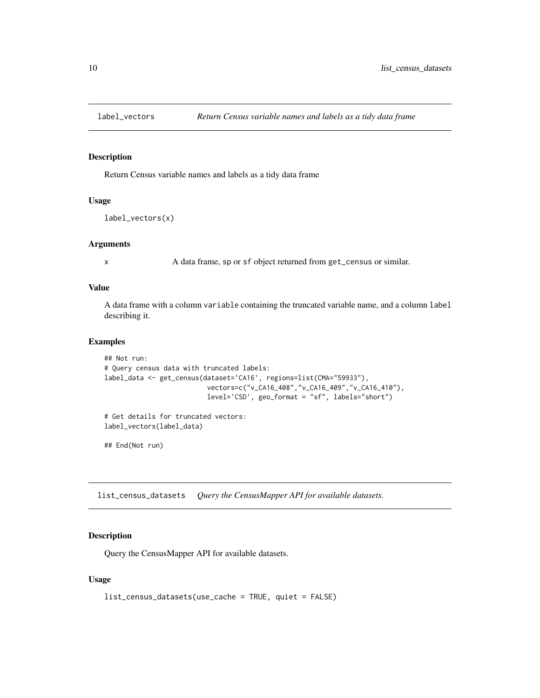<span id="page-9-0"></span>

#### Description

Return Census variable names and labels as a tidy data frame

#### Usage

```
label_vectors(x)
```
#### Arguments

x A data frame, sp or sf object returned from get\_census or similar.

#### Value

A data frame with a column variable containing the truncated variable name, and a column label describing it.

#### Examples

```
## Not run:
# Query census data with truncated labels:
label_data <- get_census(dataset='CA16', regions=list(CMA="59933"),
                          vectors=c("v_CA16_408","v_CA16_409","v_CA16_410"),
                          level='CSD', geo_format = "sf", labels="short")
# Get details for truncated vectors:
```
label\_vectors(label\_data)

## End(Not run)

list\_census\_datasets *Query the CensusMapper API for available datasets.*

#### Description

Query the CensusMapper API for available datasets.

#### Usage

```
list_census_datasets(use_cache = TRUE, quiet = FALSE)
```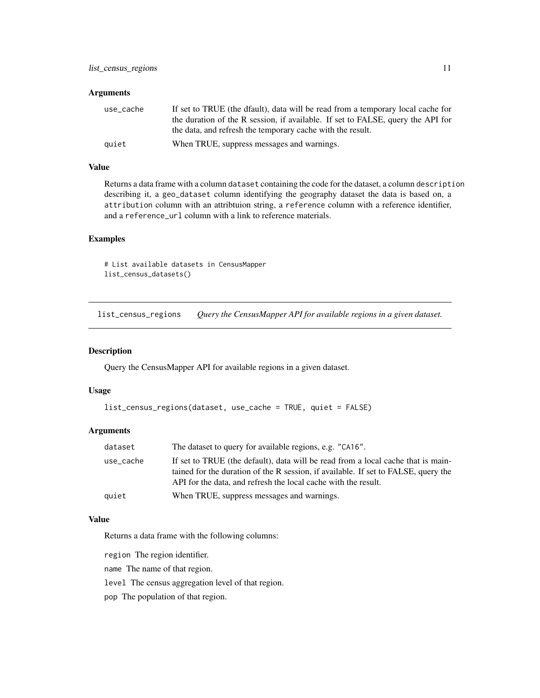#### <span id="page-10-0"></span>**Arguments**

| use_cache | If set to TRUE (the dfault), data will be read from a temporary local cache for |
|-----------|---------------------------------------------------------------------------------|
|           | the duration of the R session, if available. If set to FALSE, query the API for |
|           | the data, and refresh the temporary cache with the result.                      |
| quiet     | When TRUE, suppress messages and warnings.                                      |

#### Value

Returns a data frame with a column dataset containing the code for the dataset, a column description describing it, a geo\_dataset column identifying the geography dataset the data is based on, a attribution column with an attribtuion string, a reference column with a reference identifier, and a reference\_url column with a link to reference materials.

#### Examples

```
# List available datasets in CensusMapper
list_census_datasets()
```
<span id="page-10-1"></span>list\_census\_regions *Query the CensusMapper API for available regions in a given dataset.*

#### Description

Query the CensusMapper API for available regions in a given dataset.

#### Usage

```
list_census_regions(dataset, use_cache = TRUE, quiet = FALSE)
```
#### Arguments

| dataset   | The dataset to query for available regions, e.g. "CA16".                                                                                                                                                                                 |
|-----------|------------------------------------------------------------------------------------------------------------------------------------------------------------------------------------------------------------------------------------------|
| use_cache | If set to TRUE (the default), data will be read from a local cache that is main-<br>tained for the duration of the R session, if available. If set to FALSE, query the<br>API for the data, and refresh the local cache with the result. |
| quiet     | When TRUE, suppress messages and warnings.                                                                                                                                                                                               |

#### Value

Returns a data frame with the following columns:

region The region identifier.

name The name of that region.

level The census aggregation level of that region.

pop The population of that region.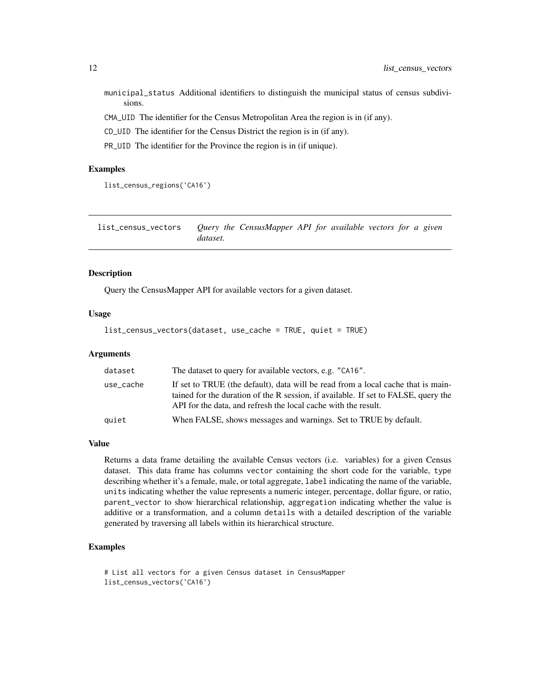<span id="page-11-0"></span>municipal\_status Additional identifiers to distinguish the municipal status of census subdivisions.

CMA\_UID The identifier for the Census Metropolitan Area the region is in (if any).

CD\_UID The identifier for the Census District the region is in (if any).

PR\_UID The identifier for the Province the region is in (if unique).

#### Examples

```
list_census_regions('CA16')
```
<span id="page-11-1"></span>list\_census\_vectors *Query the CensusMapper API for available vectors for a given dataset.*

#### **Description**

Query the CensusMapper API for available vectors for a given dataset.

#### Usage

```
list_census_vectors(dataset, use_cache = TRUE, quiet = TRUE)
```
#### Arguments

| dataset   | The dataset to query for available vectors, e.g. "CA16".                                                                                                                                                                                 |
|-----------|------------------------------------------------------------------------------------------------------------------------------------------------------------------------------------------------------------------------------------------|
| use_cache | If set to TRUE (the default), data will be read from a local cache that is main-<br>tained for the duration of the R session, if available. If set to FALSE, query the<br>API for the data, and refresh the local cache with the result. |
| quiet     | When FALSE, shows messages and warnings. Set to TRUE by default.                                                                                                                                                                         |

#### Value

Returns a data frame detailing the available Census vectors (i.e. variables) for a given Census dataset. This data frame has columns vector containing the short code for the variable, type describing whether it's a female, male, or total aggregate, label indicating the name of the variable, units indicating whether the value represents a numeric integer, percentage, dollar figure, or ratio, parent\_vector to show hierarchical relationship, aggregation indicating whether the value is additive or a transformation, and a column details with a detailed description of the variable generated by traversing all labels within its hierarchical structure.

#### Examples

```
# List all vectors for a given Census dataset in CensusMapper
list_census_vectors('CA16')
```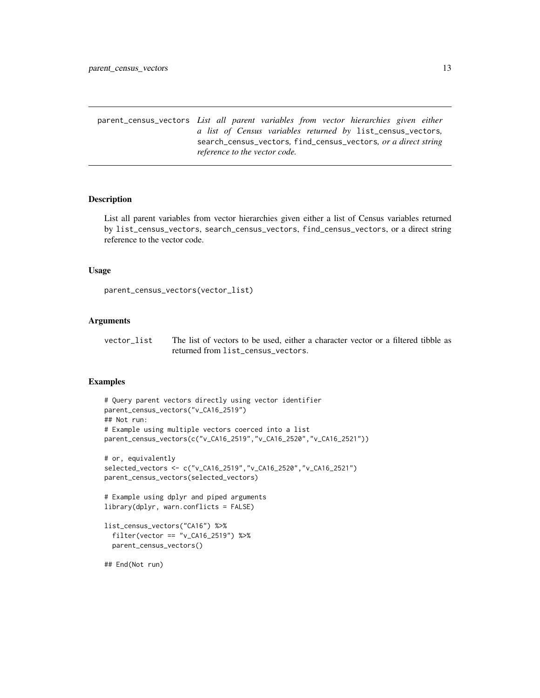<span id="page-12-0"></span>parent\_census\_vectors *List all parent variables from vector hierarchies given either a list of Census variables returned by* list\_census\_vectors*,* search\_census\_vectors*,* find\_census\_vectors*, or a direct string reference to the vector code.*

#### **Description**

List all parent variables from vector hierarchies given either a list of Census variables returned by list\_census\_vectors, search\_census\_vectors, find\_census\_vectors, or a direct string reference to the vector code.

#### Usage

```
parent_census_vectors(vector_list)
```
#### Arguments

vector\_list The list of vectors to be used, either a character vector or a filtered tibble as returned from list\_census\_vectors.

#### Examples

```
# Query parent vectors directly using vector identifier
parent_census_vectors("v_CA16_2519")
## Not run:
# Example using multiple vectors coerced into a list
parent_census_vectors(c("v_CA16_2519","v_CA16_2520","v_CA16_2521"))
# or, equivalently
selected_vectors <- c("v_CA16_2519","v_CA16_2520","v_CA16_2521")
parent_census_vectors(selected_vectors)
# Example using dplyr and piped arguments
library(dplyr, warn.conflicts = FALSE)
list_census_vectors("CA16") %>%
  filter(vector == "v_CA16_2519") %>%
  parent_census_vectors()
## End(Not run)
```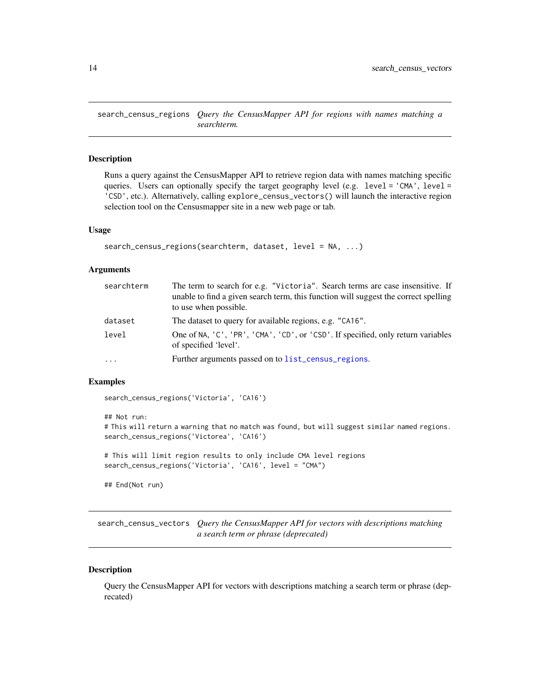<span id="page-13-0"></span>search\_census\_regions *Query the CensusMapper API for regions with names matching a searchterm.*

#### Description

Runs a query against the CensusMapper API to retrieve region data with names matching specific queries. Users can optionally specify the target geography level (e.g. level =  $'CMA'$ , level = 'CSD', etc.). Alternatively, calling explore\_census\_vectors() will launch the interactive region selection tool on the Censusmapper site in a new web page or tab.

#### Usage

```
search_census_regions(searchterm, dataset, level = NA, ...)
```
#### **Arguments**

| searchterm | The term to search for e.g. "Victoria". Search terms are case insensitive. If<br>unable to find a given search term, this function will suggest the correct spelling<br>to use when possible. |
|------------|-----------------------------------------------------------------------------------------------------------------------------------------------------------------------------------------------|
| dataset    | The dataset to query for available regions, e.g. "CA16".                                                                                                                                      |
| level      | One of NA, 'C', 'PR', 'CMA', 'CD', or 'CSD'. If specified, only return variables<br>of specified 'level'.                                                                                     |
| $\cdots$   | Further arguments passed on to list_census_regions.                                                                                                                                           |

#### Examples

search\_census\_regions('Victoria', 'CA16')

```
## Not run:
# This will return a warning that no match was found, but will suggest similar named regions.
search_census_regions('Victorea', 'CA16')
# This will limit region results to only include CMA level regions
search_census_regions('Victoria', 'CA16', level = "CMA")
## End(Not run)
```
search\_census\_vectors *Query the CensusMapper API for vectors with descriptions matching a search term or phrase (deprecated)*

#### Description

Query the CensusMapper API for vectors with descriptions matching a search term or phrase (deprecated)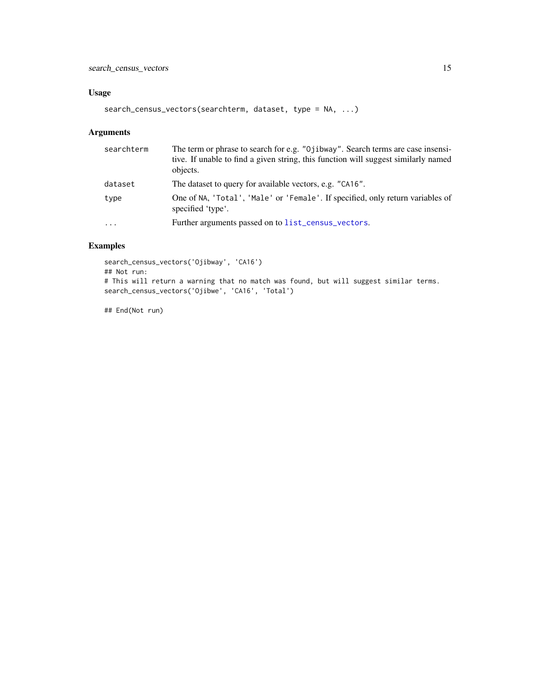#### <span id="page-14-0"></span>Usage

```
search_census_vectors(searchterm, dataset, type = NA, ...)
```
#### Arguments

| searchterm | The term or phrase to search for e.g. "Ojibway". Search terms are case insensi-<br>tive. If unable to find a given string, this function will suggest similarly named<br>objects. |
|------------|-----------------------------------------------------------------------------------------------------------------------------------------------------------------------------------|
| dataset    | The dataset to query for available vectors, e.g. "CA16".                                                                                                                          |
| type       | One of NA, 'Total', 'Male' or 'Female'. If specified, only return variables of<br>specified 'type'.                                                                               |
| $\cdots$   | Further arguments passed on to list_census_vectors.                                                                                                                               |

#### Examples

```
search_census_vectors('Ojibway', 'CA16')
## Not run:
# This will return a warning that no match was found, but will suggest similar terms.
search_census_vectors('Ojibwe', 'CA16', 'Total')
```